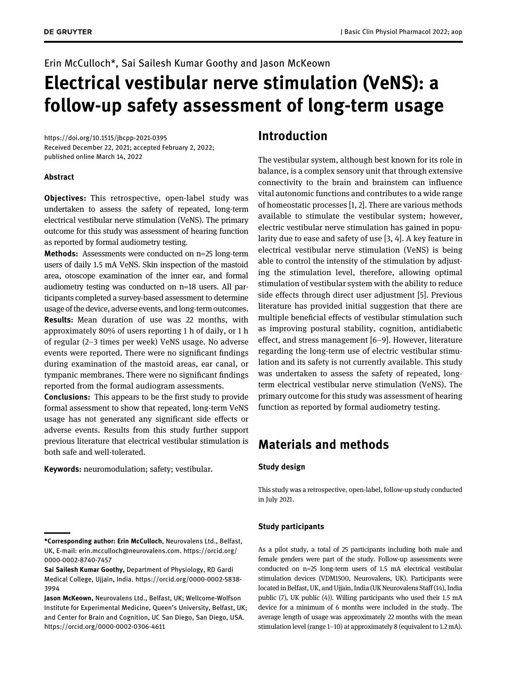# Erin McCulloch\*, Sai Sailesh Kumar Goothy and Jason McKeown Electrical vestibular nerve stimulation (VeNS): a follow-up safety assessment of long-term usage

<https://doi.org/10.1515/jbcpp-2021-0395> Received December 22, 2021; accepted February 2, 2022; published online March 14, 2022

#### Abstract

Objectives: This retrospective, open-label study was undertaken to assess the safety of repeated, long-term electrical vestibular nerve stimulation (VeNS). The primary outcome for this study was assessment of hearing function as reported by formal audiometry testing.

Methods: Assessments were conducted on n=25 long-term users of daily 1.5 mA VeNS. Skin inspection of the mastoid area, otoscope examination of the inner ear, and formal audiometry testing was conducted on n=18 users. All participants completed a survey-based assessment to determine usage of the device, adverse events, and long-term outcomes. Results: Mean duration of use was 22 months, with approximately 80% of users reporting 1 h of daily, or 1 h of regular (2–3 times per week) VeNS usage. No adverse events were reported. There were no significant findings during examination of the mastoid areas, ear canal, or tympanic membranes. There were no significant findings reported from the formal audiogram assessments.

Conclusions: This appears to be the first study to provide formal assessment to show that repeated, long-term VeNS usage has not generated any significant side effects or adverse events. Results from this study further support previous literature that electrical vestibular stimulation is both safe and well-tolerated.

Keywords: neuromodulation; safety; vestibular.

### Introduction

The vestibular system, although best known for its role in balance, is a complex sensory unit that through extensive connectivity to the brain and brainstem can influence vital autonomic functions and contributes to a wide range of homeostatic processes [[1,](#page-2-0) [2](#page-2-1)]. There are various methods available to stimulate the vestibular system; however, electric vestibular nerve stimulation has gained in popularity due to ease and safety of use [\[3,](#page-2-2) [4](#page-3-0)]. A key feature in electrical vestibular nerve stimulation (VeNS) is being able to control the intensity of the stimulation by adjusting the stimulation level, therefore, allowing optimal stimulation of vestibular system with the ability to reduce side effects through direct user adjustment [[5\]](#page-3-0). Previous literature has provided initial suggestion that there are multiple beneficial effects of vestibular stimulation such as improving postural stability, cognition, antidiabetic effect, and stress management [\[6](#page-3-1)–[9\]](#page-3-2). However, literature regarding the long-term use of electric vestibular stimulation and its safety is not currently available. This study was undertaken to assess the safety of repeated, longterm electrical vestibular nerve stimulation (VeNS). The primary outcome for this study was assessment of hearing function as reported by formal audiometry testing.

# Materials and methods

#### Study design

This study was a retrospective, open-label, follow-up study conducted in July 2021.

#### Study participants

As a pilot study, a total of 25 participants including both male and female genders were part of the study. Follow-up assessments were conducted on n=25 long-term users of 1.5 mA electrical vestibular stimulation devices (VDM1500, Neurovalens, UK). Participants were located in Belfast, UK, and Ujjain, India (UK Neurovalens Staff (14), India public (7), UK public (4)). Willing participants who used their 1.5 mA device for a minimum of 6 months were included in the study. The average length of usage was approximately 22 months with the mean stimulation level (range 1–10) at approximately 8 (equivalent to 1.2 mA).

<sup>\*</sup>Corresponding author: Erin McCulloch, Neurovalens Ltd., Belfast, UK, E-mail: [erin.mcculloch@neurovalens.com](mailto:erin.mcculloch@neurovalens.com). [https://orcid.org/](https://orcid.org/0000-0002-8740-7457) [0000-0002-8740-7457](https://orcid.org/0000-0002-8740-7457)

Sai Sailesh Kumar Goothy, Department of Physiology, RD Gardi Medical College, Ujjain, India. [https://orcid.org/0000-0002-5838-](https://orcid.org/0000-0002-5838-3994) [3994](https://orcid.org/0000-0002-5838-3994)

Jason McKeown, Neurovalens Ltd., Belfast, UK; Wellcome-Wolfson Institute for Experimental Medicine, Queen's University, Belfast, UK; and Center for Brain and Cognition, UC San Diego, San Diego, USA. <https://orcid.org/0000-0002-0306-4611>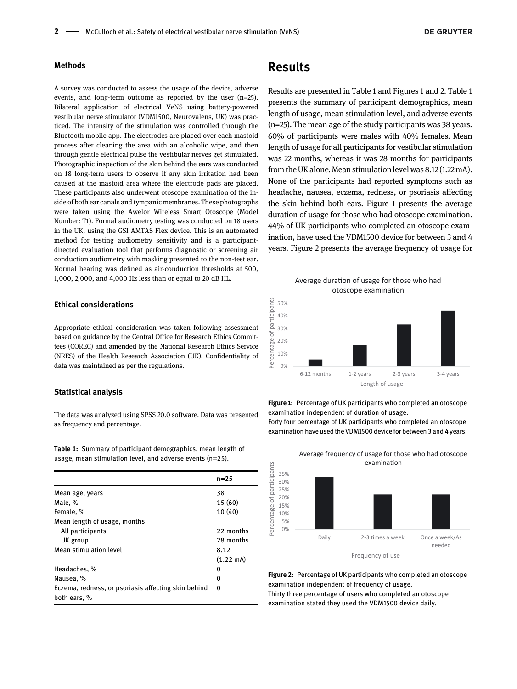#### Methods

A survey was conducted to assess the usage of the device, adverse events, and long-term outcome as reported by the user (n=25). Bilateral application of electrical VeNS using battery-powered vestibular nerve stimulator (VDM1500, Neurovalens, UK) was practiced. The intensity of the stimulation was controlled through the Bluetooth mobile app. The electrodes are placed over each mastoid process after cleaning the area with an alcoholic wipe, and then through gentle electrical pulse the vestibular nerves get stimulated. Photographic inspection of the skin behind the ears was conducted on 18 long-term users to observe if any skin irritation had been caused at the mastoid area where the electrode pads are placed. These participants also underwent otoscope examination of the inside of both ear canals and tympanic membranes. These photographs were taken using the Awelor Wireless Smart Otoscope (Model Number: T1). Formal audiometry testing was conducted on 18 users in the UK, using the GSI AMTAS Flex device. This is an automated method for testing audiometry sensitivity and is a participantdirected evaluation tool that performs diagnostic or screening air conduction audiometry with masking presented to the non-test ear. Normal hearing was defined as air-conduction thresholds at 500, 1,000, 2,000, and 4,000 Hz less than or equal to 20 dB HL.

#### Ethical considerations

Appropriate ethical consideration was taken following assessment based on guidance by the Central Office for Research Ethics Committees (COREC) and amended by the National Research Ethics Service (NRES) of the Health Research Association (UK). Confidentiality of data was maintained as per the regulations.

#### Statistical analysis

The data was analyzed using SPSS 20.0 software. Data was presented as frequency and percentage.

<span id="page-1-0"></span>Table 1: Summary of participant demographics, mean length of usage, mean stimulation level, and adverse events ( $n=25$ ).

|                                                                     | n=25                |
|---------------------------------------------------------------------|---------------------|
| Mean age, years                                                     | 38                  |
| Male, %                                                             | 15 (60)             |
| Female, %                                                           | 10(40)              |
| Mean length of usage, months                                        |                     |
| All participants                                                    | 22 months           |
| UK group                                                            | 28 months           |
| Mean stimulation level                                              | 8.12                |
|                                                                     | $(1.22 \text{ mA})$ |
| Headaches, %                                                        | O                   |
| Nausea, %                                                           | 0                   |
| Eczema, redness, or psoriasis affecting skin behind<br>both ears, % | 0                   |

### Results

Results are presented in [Table 1](#page-1-0) and [Figures 1](#page-1-1) and [2.](#page-1-2) [Table 1](#page-1-0) presents the summary of participant demographics, mean length of usage, mean stimulation level, and adverse events (n=25). The mean age of the study participants was 38 years. 60% of participants were males with 40% females. Mean length of usage for all participants for vestibular stimulation was 22 months, whereas it was 28 months for participants from the UK alone. Mean stimulation level was 8.12 (1.22 mA). None of the participants had reported symptoms such as headache, nausea, eczema, redness, or psoriasis affecting the skin behind both ears. [Figure 1](#page-1-1) presents the average duration of usage for those who had otoscope examination. 44% of UK participants who completed an otoscope examination, have used the VDM1500 device for between 3 and 4 years. [Figure 2](#page-1-2) presents the average frequency of usage for





<span id="page-1-1"></span>Figure 1: Percentage of UK participants who completed an otoscope examination independent of duration of usage. Forty four percentage of UK participants who completed an otoscope examination have used the VDM1500 device for between 3 and 4 years.



<span id="page-1-2"></span>Figure 2: Percentage of UK participants who completed an otoscope examination independent of frequency of usage. Thirty three percentage of users who completed an otoscope examination stated they used the VDM1500 device daily.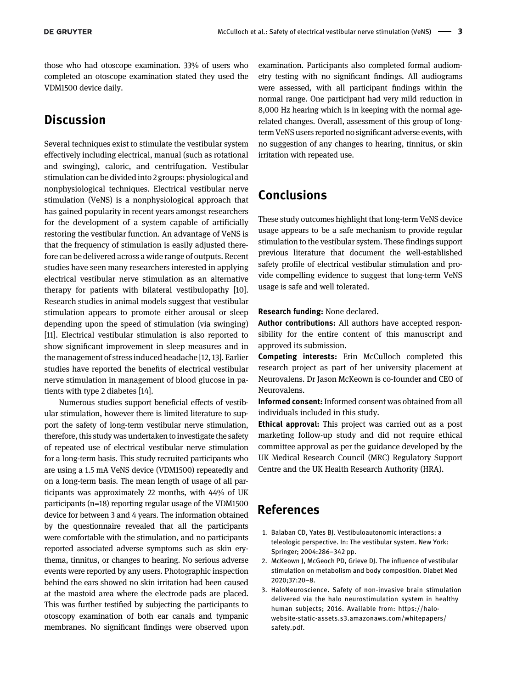those who had otoscope examination. 33% of users who completed an otoscope examination stated they used the VDM1500 device daily.

# **Discussion**

Several techniques exist to stimulate the vestibular system effectively including electrical, manual (such as rotational and swinging), caloric, and centrifugation. Vestibular stimulation can be divided into 2 groups: physiological and nonphysiological techniques. Electrical vestibular nerve stimulation (VeNS) is a nonphysiological approach that has gained popularity in recent years amongst researchers for the development of a system capable of artificially restoring the vestibular function. An advantage of VeNS is that the frequency of stimulation is easily adjusted therefore can be delivered across a wide range of outputs. Recent studies have seen many researchers interested in applying electrical vestibular nerve stimulation as an alternative therapy for patients with bilateral vestibulopathy [[10\]](#page-3-3). Research studies in animal models suggest that vestibular stimulation appears to promote either arousal or sleep depending upon the speed of stimulation (via swinging) [[11](#page-3-4)]. Electrical vestibular stimulation is also reported to show significant improvement in sleep measures and in the management of stress induced headache [[12,](#page-3-5) [13\]](#page-3-6). Earlier studies have reported the benefits of electrical vestibular nerve stimulation in management of blood glucose in patients with type 2 diabetes [\[14](#page-3-7)].

Numerous studies support beneficial effects of vestibular stimulation, however there is limited literature to support the safety of long-term vestibular nerve stimulation, therefore, this study was undertaken to investigate the safety of repeated use of electrical vestibular nerve stimulation for a long-term basis. This study recruited participants who are using a 1.5 mA VeNS device (VDM1500) repeatedly and on a long-term basis. The mean length of usage of all participants was approximately 22 months, with 44% of UK participants (n=18) reporting regular usage of the VDM1500 device for between 3 and 4 years. The information obtained by the questionnaire revealed that all the participants were comfortable with the stimulation, and no participants reported associated adverse symptoms such as skin erythema, tinnitus, or changes to hearing. No serious adverse events were reported by any users. Photographic inspection behind the ears showed no skin irritation had been caused at the mastoid area where the electrode pads are placed. This was further testified by subjecting the participants to otoscopy examination of both ear canals and tympanic membranes. No significant findings were observed upon

examination. Participants also completed formal audiometry testing with no significant findings. All audiograms were assessed, with all participant findings within the normal range. One participant had very mild reduction in 8,000 Hz hearing which is in keeping with the normal agerelated changes. Overall, assessment of this group of longterm VeNS users reported no significant adverse events, with no suggestion of any changes to hearing, tinnitus, or skin irritation with repeated use.

# Conclusions

These study outcomes highlight that long-term VeNS device usage appears to be a safe mechanism to provide regular stimulation to the vestibular system. These findings support previous literature that document the well-established safety profile of electrical vestibular stimulation and provide compelling evidence to suggest that long-term VeNS usage is safe and well tolerated.

Research funding: None declared.

Author contributions: All authors have accepted responsibility for the entire content of this manuscript and approved its submission.

Competing interests: Erin McCulloch completed this research project as part of her university placement at Neurovalens. Dr Jason McKeown is co-founder and CEO of Neurovalens.

Informed consent: Informed consent was obtained from all individuals included in this study.

Ethical approval: This project was carried out as a post marketing follow-up study and did not require ethical committee approval as per the guidance developed by the UK Medical Research Council (MRC) Regulatory Support Centre and the UK Health Research Authority (HRA).

## References

- <span id="page-2-0"></span>1. Balaban CD, Yates BJ. Vestibuloautonomic interactions: a teleologic perspective. In: The vestibular system. New York: Springer; 2004:286–342 pp.
- <span id="page-2-1"></span>2. McKeown J, McGeoch PD, Grieve DJ. The influence of vestibular stimulation on metabolism and body composition. Diabet Med 2020;37:20–8.
- <span id="page-2-2"></span>3. HaloNeuroscience. Safety of non-invasive brain stimulation delivered via the halo neurostimulation system in healthy human subjects; 2016. Available from: [https://halo](https://halo-website-static-assets.s3.amazonaws.com/whitepapers/safety.pdf)[website-static-assets.s3.amazonaws.com/whitepapers/](https://halo-website-static-assets.s3.amazonaws.com/whitepapers/safety.pdf) [safety.pdf.](https://halo-website-static-assets.s3.amazonaws.com/whitepapers/safety.pdf)